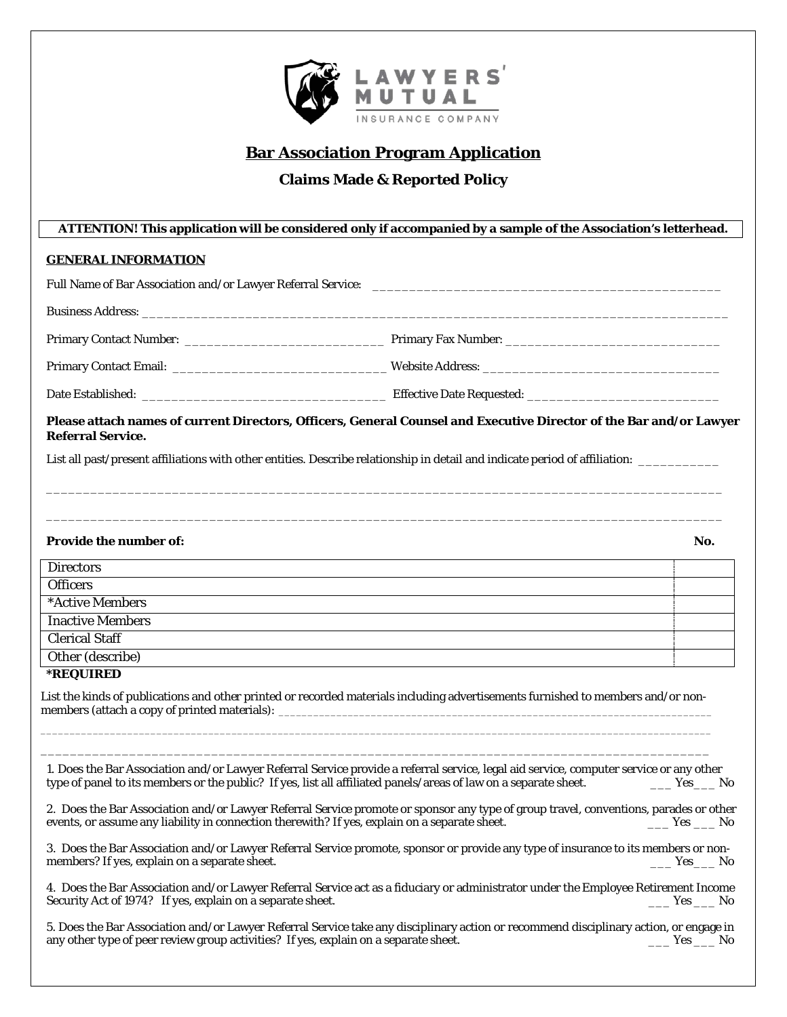

# **Bar Association Program Application**

## **Claims Made & Reported Policy**

## **ATTENTION! This application will be considered only if accompanied by a sample of the Association's letterhead.**

#### **GENERAL INFORMATION**

|  | Website Address: Website Address: |  |  |  |
|--|-----------------------------------|--|--|--|
|  |                                   |  |  |  |

### **Please attach names of current Directors, Officers, General Counsel and Executive Director of the Bar and/or Lawyer Referral Service.**

\_\_\_\_\_\_\_\_\_\_\_\_\_\_\_\_\_\_\_\_\_\_\_\_\_\_\_\_\_\_\_\_\_\_\_\_\_\_\_\_\_\_\_\_\_\_\_\_\_\_\_\_\_\_\_\_\_\_\_\_\_\_\_\_\_\_\_\_\_\_\_\_\_\_\_\_\_\_\_\_\_\_\_\_\_\_\_\_\_\_\_

\_\_\_\_\_\_\_\_\_\_\_\_\_\_\_\_\_\_\_\_\_\_\_\_\_\_\_\_\_\_\_\_\_\_\_\_\_\_\_\_\_\_\_\_\_\_\_\_\_\_\_\_\_\_\_\_\_\_\_\_\_\_\_\_\_\_\_\_\_\_\_\_\_\_\_\_\_\_\_\_\_\_\_\_\_\_\_\_\_\_\_

List all past/present affiliations with other entities. Describe relationship in detail and indicate period of affiliation: \_\_\_\_\_\_\_\_\_\_\_

#### **Provide the number of:** No.

| <b>Directors</b>        |  |
|-------------------------|--|
| <b>Officers</b>         |  |
| *Active Members         |  |
| <b>Inactive Members</b> |  |
| <b>Clerical Staff</b>   |  |
| Other (describe)        |  |
|                         |  |

#### **\*REQUIRED**

List the kinds of publications and other printed or recorded materials including advertisements furnished to members and/or nonmembers (attach a copy of printed materials): \_

\_\_\_\_\_\_\_\_\_\_\_\_\_\_\_\_\_\_\_\_\_\_\_\_\_\_\_\_\_\_\_\_\_\_\_\_\_\_\_\_\_\_\_\_\_\_\_\_\_\_\_\_\_\_\_\_\_\_\_\_\_\_\_\_\_\_\_\_\_\_\_\_\_\_\_\_\_\_\_\_\_\_\_\_\_\_\_\_\_\_\_\_\_\_\_\_\_\_\_\_\_\_\_\_\_\_\_\_\_\_\_\_\_\_\_\_ \_\_\_\_\_\_\_\_\_\_\_\_\_\_\_\_\_\_\_\_\_\_\_\_\_\_\_\_\_\_\_\_\_\_\_\_\_\_\_\_\_\_\_\_\_\_\_\_\_\_\_\_\_\_\_\_\_\_\_\_\_\_\_\_\_\_\_\_\_\_\_\_\_\_\_\_\_\_\_\_\_\_\_\_\_\_\_\_\_\_

1. Does the Bar Association and/or Lawyer Referral Service provide a referral service, legal aid service, computer service or any other type of panel to its members or the public? If yes, list all affiliated panels/areas o type of panel to its members or the public? If yes, list all affiliated panels/areas of law on a separate sheet.

2. Does the Bar Association and/or Lawyer Referral Service promote or sponsor any type of group travel, conventions, parades or other events, or assume any liability in connection therewith? If yes, explain on a separate s events, or assume any liability in connection therewith? If yes, explain on a separate sheet.

3. Does the Bar Association and/or Lawyer Referral Service promote, sponsor or provide any type of insurance to its members or nonmembers? If yes, explain on a separate sheet.

4. Does the Bar Association and/or Lawyer Referral Service act as a fiduciary or administrator under the Employee Retirement Income Security Act of 1974? If yes, explain on a separate sheet.  $\Box$  Yes  $\Box$  No

5. Does the Bar Association and/or Lawyer Referral Service take any disciplinary action or recommend disciplinary action, or engage in any other type of peer review group activities? If yes, explain on a separate sheet. \_\_\_\_\_\_\_\_\_\_\_\_\_\_\_\_\_\_\_\_\_\_\_\_ Yes \_\_\_\_\_\_ No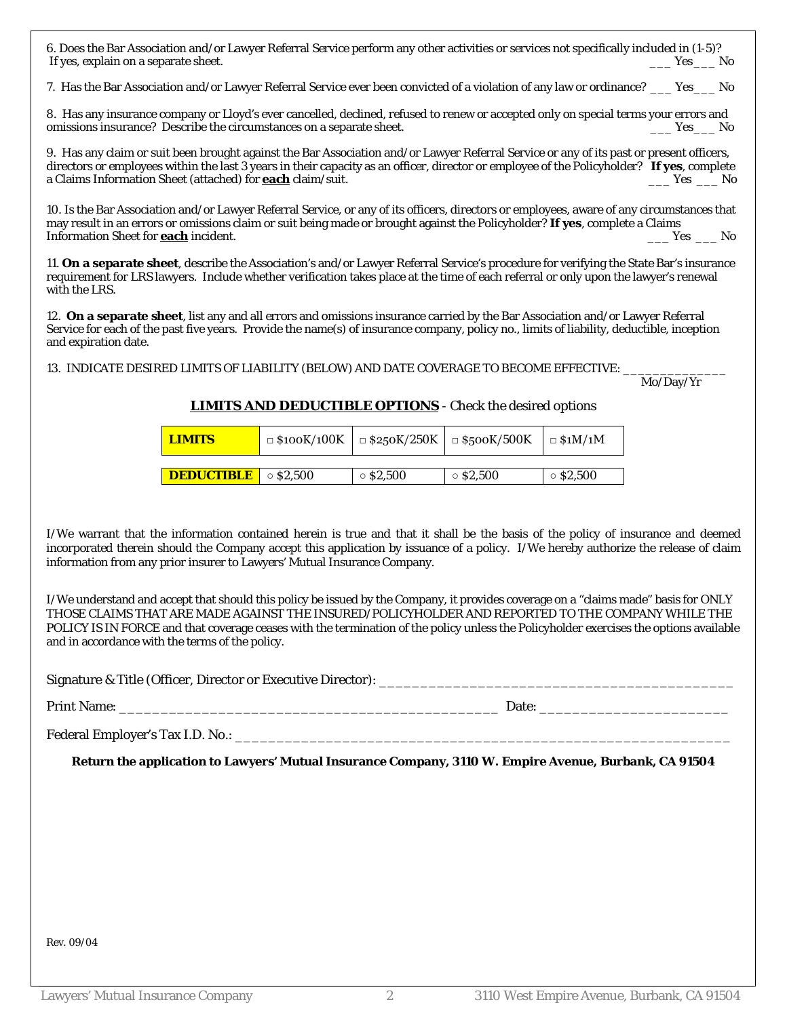6. Does the Bar Association and/or Lawyer Referral Service perform any other activities or services not specifically included in (1-5)? If yes, explain on a separate sheet.

7. Has the Bar Association and/or Lawyer Referral Service ever been convicted of a violation of any law or ordinance? \_\_\_ Yes\_\_\_ No

8. Has any insurance company or Lloyd's ever cancelled, declined, refused to renew or accepted only on special terms your errors and omissions insurance? Describe the circumstances on a separate sheet. \_\_\_ Yes\_\_\_ No

9. Has any claim or suit been brought against the Bar Association and/or Lawyer Referral Service or any of its past or present officers, directors or employees within the last 3 years in their capacity as an officer, director or employee of the Policyholder? **If yes**, complete a Claims Information Sheet (attached) for **each** claim/suit. \_\_\_ Yes \_\_\_ No

10. Is the Bar Association and/or Lawyer Referral Service, or any of its officers, directors or employees, aware of any circumstances that may result in an errors or omissions claim or suit being made or brought against the Policyholder? **If yes**, complete a Claims Information Sheet for **each** incident.

11. **On a separate sheet**, describe the Association's and/or Lawyer Referral Service's procedure for verifying the State Bar's insurance requirement for LRS lawyers. Include whether verification takes place at the time of each referral or only upon the lawyer's renewal with the LRS.

12. **On a separate sheet**, list any and all errors and omissions insurance carried by the Bar Association and/or Lawyer Referral Service for each of the past five years. Provide the name(s) of insurance company, policy no., limits of liability, deductible, inception and expiration date.

13. INDICATE DESIRED LIMITS OF LIABILITY (BELOW) AND DATE COVERAGE TO BECOME EFFECTIVE: Mo/Day/Yr

Mo/Day/Yr

### **LIMITS AND DEDUCTIBLE OPTIONS** - Check the desired options

| <b>LIMITS</b>     | $\Box$ \$100K/100K | $\Box$ \$250K/250K | $\Box$ \$500K/500K | $\Box$ \$1M/1M  |
|-------------------|--------------------|--------------------|--------------------|-----------------|
|                   |                    |                    |                    |                 |
| <b>DEDUCTIBLE</b> | $\circ$ \$2.500    | $\circ$ \$2,500    | $\circ$ \$2,500    | $\circ$ \$2,500 |

I/We warrant that the information contained herein is true and that it shall be the basis of the policy of insurance and deemed incorporated therein should the Company accept this application by issuance of a policy. I/We hereby authorize the release of claim information from any prior insurer to Lawyers' Mutual Insurance Company.

I/We understand and accept that should this policy be issued by the Company, it provides coverage on a "claims made" basis for ONLY THOSE CLAIMS THAT ARE MADE AGAINST THE INSURED/POLICYHOLDER AND REPORTED TO THE COMPANY WHILE THE POLICY IS IN FORCE and that coverage ceases with the termination of the policy unless the Policyholder exercises the options available and in accordance with the terms of the policy.

Signature & Title (Officer, Director or Executive Director): \_\_\_\_\_\_\_\_\_\_\_\_\_\_\_\_\_\_\_

# Print Name: \_\_\_\_\_\_\_\_\_\_\_\_\_\_\_\_\_\_\_\_\_\_\_\_\_\_\_\_\_\_\_\_\_\_\_\_\_\_\_\_\_\_\_\_\_\_ Date: \_\_\_\_\_\_\_\_\_\_\_\_\_\_\_\_\_\_\_\_\_\_\_

Federal Employer's Tax I.D. No.: \_\_\_\_\_\_\_\_\_\_\_\_\_\_\_\_\_\_\_\_\_\_\_\_\_\_\_\_\_\_\_\_\_\_\_\_\_\_\_\_\_\_\_\_\_\_\_\_\_\_\_\_\_\_\_\_\_\_\_\_

**Return the application to Lawyers' Mutual Insurance Company, 3110 W. Empire Avenue, Burbank, CA 91504**

Rev. 09/04